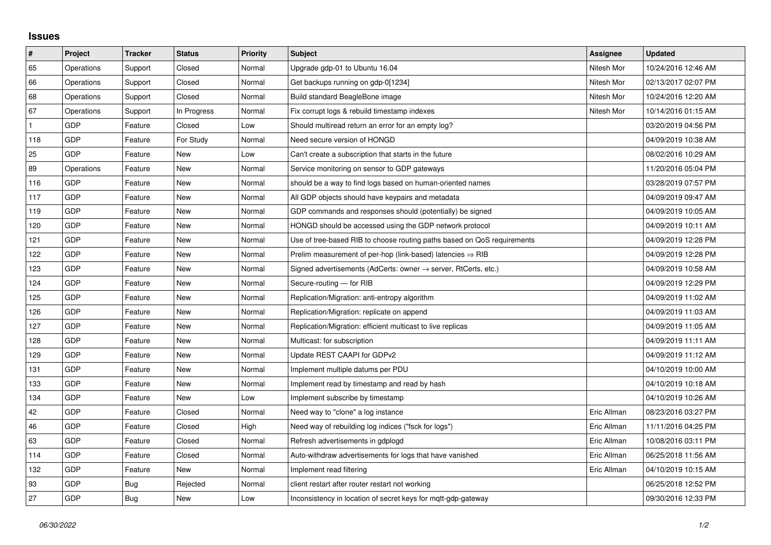## **Issues**

| $\vert$ #    | Project    | <b>Tracker</b> | <b>Status</b> | <b>Priority</b> | <b>Subject</b>                                                             | Assignee    | <b>Updated</b>      |
|--------------|------------|----------------|---------------|-----------------|----------------------------------------------------------------------------|-------------|---------------------|
| 65           | Operations | Support        | Closed        | Normal          | Upgrade gdp-01 to Ubuntu 16.04                                             | Nitesh Mor  | 10/24/2016 12:46 AM |
| 66           | Operations | Support        | Closed        | Normal          | Get backups running on gdp-0[1234]                                         | Nitesh Mor  | 02/13/2017 02:07 PM |
| 68           | Operations | Support        | Closed        | Normal          | Build standard BeagleBone image                                            | Nitesh Mor  | 10/24/2016 12:20 AM |
| 67           | Operations | Support        | In Progress   | Normal          | Fix corrupt logs & rebuild timestamp indexes                               | Nitesh Mor  | 10/14/2016 01:15 AM |
| $\mathbf{1}$ | <b>GDP</b> | Feature        | Closed        | Low             | Should multiread return an error for an empty log?                         |             | 03/20/2019 04:56 PM |
| 118          | <b>GDP</b> | Feature        | For Study     | Normal          | Need secure version of HONGD                                               |             | 04/09/2019 10:38 AM |
| 25           | <b>GDP</b> | Feature        | New           | Low             | Can't create a subscription that starts in the future                      |             | 08/02/2016 10:29 AM |
| 89           | Operations | Feature        | New           | Normal          | Service monitoring on sensor to GDP gateways                               |             | 11/20/2016 05:04 PM |
| 116          | GDP        | Feature        | <b>New</b>    | Normal          | should be a way to find logs based on human-oriented names                 |             | 03/28/2019 07:57 PM |
| 117          | <b>GDP</b> | Feature        | <b>New</b>    | Normal          | All GDP objects should have keypairs and metadata                          |             | 04/09/2019 09:47 AM |
| 119          | <b>GDP</b> | Feature        | New           | Normal          | GDP commands and responses should (potentially) be signed                  |             | 04/09/2019 10:05 AM |
| 120          | <b>GDP</b> | Feature        | New           | Normal          | HONGD should be accessed using the GDP network protocol                    |             | 04/09/2019 10:11 AM |
| 121          | <b>GDP</b> | Feature        | <b>New</b>    | Normal          | Use of tree-based RIB to choose routing paths based on QoS requirements    |             | 04/09/2019 12:28 PM |
| 122          | <b>GDP</b> | Feature        | New           | Normal          | Prelim measurement of per-hop (link-based) latencies $\Rightarrow$ RIB     |             | 04/09/2019 12:28 PM |
| 123          | <b>GDP</b> | Feature        | New           | Normal          | Signed advertisements (AdCerts: owner $\rightarrow$ server, RtCerts, etc.) |             | 04/09/2019 10:58 AM |
| 124          | <b>GDP</b> | Feature        | New           | Normal          | Secure-routing - for RIB                                                   |             | 04/09/2019 12:29 PM |
| 125          | <b>GDP</b> | Feature        | New           | Normal          | Replication/Migration: anti-entropy algorithm                              |             | 04/09/2019 11:02 AM |
| 126          | <b>GDP</b> | Feature        | <b>New</b>    | Normal          | Replication/Migration: replicate on append                                 |             | 04/09/2019 11:03 AM |
| 127          | <b>GDP</b> | Feature        | <b>New</b>    | Normal          | Replication/Migration: efficient multicast to live replicas                |             | 04/09/2019 11:05 AM |
| 128          | <b>GDP</b> | Feature        | <b>New</b>    | Normal          | Multicast: for subscription                                                |             | 04/09/2019 11:11 AM |
| 129          | <b>GDP</b> | Feature        | New           | Normal          | Update REST CAAPI for GDPv2                                                |             | 04/09/2019 11:12 AM |
| 131          | <b>GDP</b> | Feature        | New           | Normal          | Implement multiple datums per PDU                                          |             | 04/10/2019 10:00 AM |
| 133          | GDP        | Feature        | New           | Normal          | Implement read by timestamp and read by hash                               |             | 04/10/2019 10:18 AM |
| 134          | GDP        | Feature        | <b>New</b>    | Low             | Implement subscribe by timestamp                                           |             | 04/10/2019 10:26 AM |
| 42           | <b>GDP</b> | Feature        | Closed        | Normal          | Need way to "clone" a log instance                                         | Eric Allman | 08/23/2016 03:27 PM |
| 46           | <b>GDP</b> | Feature        | Closed        | High            | Need way of rebuilding log indices ("fsck for logs")                       | Eric Allman | 11/11/2016 04:25 PM |
| 63           | <b>GDP</b> | Feature        | Closed        | Normal          | Refresh advertisements in gdplogd                                          | Eric Allman | 10/08/2016 03:11 PM |
| 114          | <b>GDP</b> | Feature        | Closed        | Normal          | Auto-withdraw advertisements for logs that have vanished                   | Eric Allman | 06/25/2018 11:56 AM |
| 132          | <b>GDP</b> | Feature        | New           | Normal          | Implement read filtering                                                   | Eric Allman | 04/10/2019 10:15 AM |
| 93           | <b>GDP</b> | Bug            | Rejected      | Normal          | client restart after router restart not working                            |             | 06/25/2018 12:52 PM |
| 27           | <b>GDP</b> | Bug            | <b>New</b>    | Low             | Inconsistency in location of secret keys for mott-gdp-gateway              |             | 09/30/2016 12:33 PM |